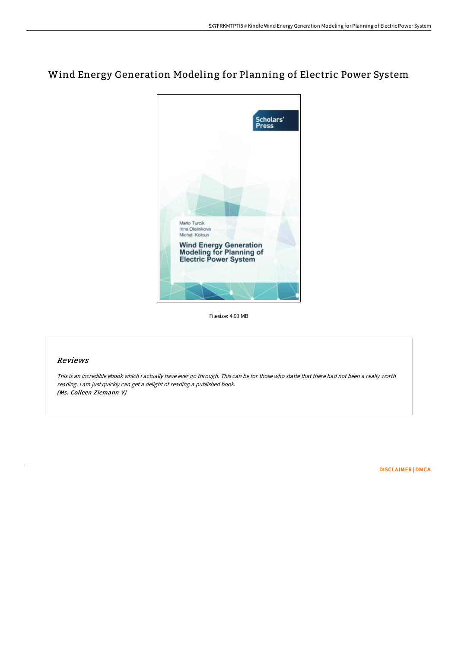# Wind Energy Generation Modeling for Planning of Electric Power System



Filesize: 4.93 MB

# Reviews

This is an incredible ebook which i actually have ever go through. This can be for those who statte that there had not been <sup>a</sup> really worth reading. <sup>I</sup> am just quickly can get <sup>a</sup> delight of reading <sup>a</sup> published book. (Ms. Colleen Ziemann V)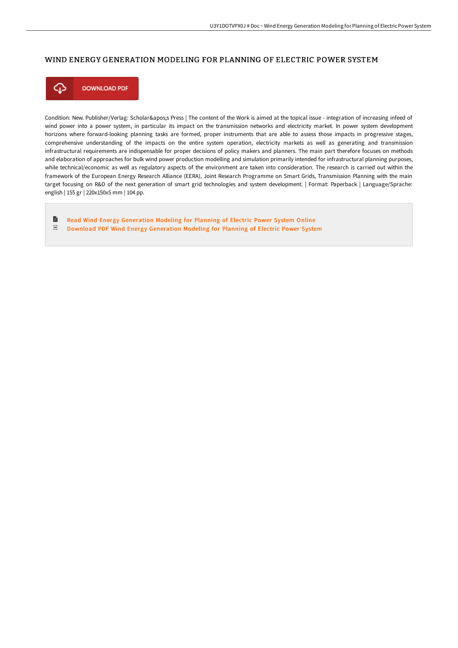## WIND ENERGY GENERATION MODELING FOR PLANNING OF ELECTRIC POWER SYSTEM



Condition: New. Publisher/Verlag: Scholar's Press | The content of the Work is aimed at the topical issue - integration of increasing infeed of wind power into a power system, in particular its impact on the transmission networks and electricity market. In power system development horizons where forward-looking planning tasks are formed, proper instruments that are able to assess those impacts in progressive stages, comprehensive understanding of the impacts on the entire system operation, electricity markets as well as generating and transmission infrastructural requirements are indispensable for proper decisions of policy makers and planners. The main part therefore focuses on methods and elaboration of approaches for bulk wind power production modelling and simulation primarily intended for infrastructural planning purposes, while technical/economic as well as regulatory aspects of the environment are taken into consideration. The research is carried out within the framework of the European Energy Research Alliance (EERA), Joint Research Programme on Smart Grids, Transmission Planning with the main target focusing on R&D of the next generation of smart grid technologies and system development. | Format: Paperback | Language/Sprache: english | 155 gr | 220x150x5 mm | 104 pp.

 $\blacksquare$ Read Wind Energy [Generation](http://www.bookdirs.com/wind-energy-generation-modeling-for-planning-of-.html) Modeling for Planning of Electric Power System Online  $_{\rm PDF}$ Download PDF Wind Energy [Generation](http://www.bookdirs.com/wind-energy-generation-modeling-for-planning-of-.html) Modeling for Planning of Electric Power System